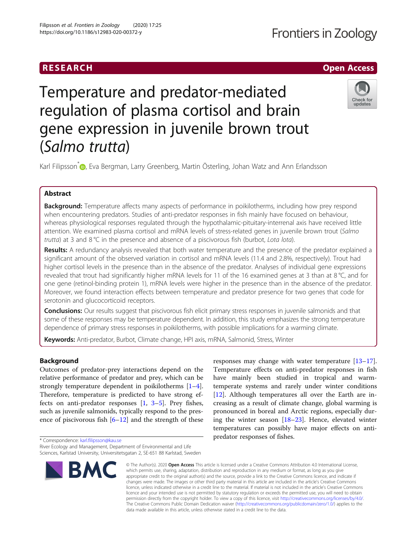## RESEARCH **RESEARCH CHANNEL CONTROL**

# Temperature and predator-mediated regulation of plasma cortisol and brain gene expression in juvenile brown trout (Salm[o](http://orcid.org/0000-0003-0762-6551) trutta)



Karl Filipsson<sup>\*</sup> <sub>(b</sub>, Eva Bergman, Larry Greenberg, Martin Österling, Johan Watz and Ann Erlandsson

### Abstract

**Background:** Temperature affects many aspects of performance in poikilotherms, including how prey respond when encountering predators. Studies of anti-predator responses in fish mainly have focused on behaviour, whereas physiological responses regulated through the hypothalamic-pituitary-interrenal axis have received little attention. We examined plasma cortisol and mRNA levels of stress-related genes in juvenile brown trout (Salmo trutta) at 3 and  $8^{\circ}$ C in the presence and absence of a piscivorous fish (burbot, Lota lota).

Results: A redundancy analysis revealed that both water temperature and the presence of the predator explained a significant amount of the observed variation in cortisol and mRNA levels (11.4 and 2.8%, respectively). Trout had higher cortisol levels in the presence than in the absence of the predator. Analyses of individual gene expressions revealed that trout had significantly higher mRNA levels for 11 of the 16 examined genes at 3 than at 8 °C, and for one gene (retinol-binding protein 1), mRNA levels were higher in the presence than in the absence of the predator. Moreover, we found interaction effects between temperature and predator presence for two genes that code for serotonin and glucocorticoid receptors.

**Conclusions:** Our results suggest that piscivorous fish elicit primary stress responses in juvenile salmonids and that some of these responses may be temperature dependent. In addition, this study emphasizes the strong temperature dependence of primary stress responses in poikilotherms, with possible implications for a warming climate.

Keywords: Anti-predator, Burbot, Climate change, HPI axis, mRNA, Salmonid, Stress, Winter

#### Background

Outcomes of predator-prey interactions depend on the relative performance of predator and prey, which can be strongly temperature dependent in poikilotherms [\[1](#page-8-0)–[4](#page-8-0)]. Therefore, temperature is predicted to have strong effects on anti-predator responses [[1,](#page-8-0) [3](#page-8-0)–[5\]](#page-8-0). Prey fishes, such as juvenile salmonids, typically respond to the presence of piscivorous fish  $[6–12]$  $[6–12]$  $[6–12]$  $[6–12]$  and the strength of these

\* Correspondence: [karl.filipsson@kau.se](mailto:karl.filipsson@kau.se)

River Ecology and Management, Department of Environmental and Life Sciences, Karlstad University, Universitetsgatan 2, SE-651 88 Karlstad, Sweden



responses may change with water temperature [[13](#page-8-0)–[17](#page-8-0)]. Temperature effects on anti-predator responses in fish have mainly been studied in tropical and warmtemperate systems and rarely under winter conditions [[12\]](#page-8-0). Although temperatures all over the Earth are increasing as a result of climate change, global warming is pronounced in boreal and Arctic regions, especially during the winter season [[18](#page-8-0)–[23](#page-8-0)]. Hence, elevated winter temperatures can possibly have major effects on antipredator responses of fishes.

© The Author(s), 2020 **Open Access** This article is licensed under a Creative Commons Attribution 4.0 International License, which permits use, sharing, adaptation, distribution and reproduction in any medium or format, as long as you give appropriate credit to the original author(s) and the source, provide a link to the Creative Commons licence, and indicate if changes were made. The images or other third party material in this article are included in the article's Creative Commons licence, unless indicated otherwise in a credit line to the material. If material is not included in the article's Creative Commons licence and your intended use is not permitted by statutory regulation or exceeds the permitted use, you will need to obtain permission directly from the copyright holder. To view a copy of this licence, visit [http://creativecommons.org/licenses/by/4.0/.](http://creativecommons.org/licenses/by/4.0/) The Creative Commons Public Domain Dedication waiver [\(http://creativecommons.org/publicdomain/zero/1.0/](http://creativecommons.org/publicdomain/zero/1.0/)) applies to the data made available in this article, unless otherwise stated in a credit line to the data.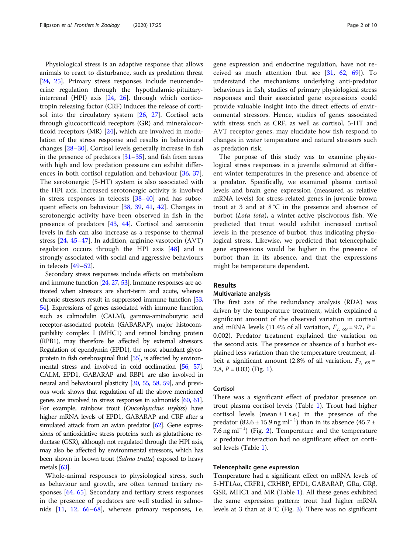Physiological stress is an adaptive response that allows animals to react to disturbance, such as predation threat [[24,](#page-8-0) [25\]](#page-8-0). Primary stress responses include neuroendocrine regulation through the hypothalamic-pituitaryinterrenal (HPI) axis [\[24](#page-8-0), [26](#page-8-0)], through which corticotropin releasing factor (CRF) induces the release of cortisol into the circulatory system [[26,](#page-8-0) [27](#page-8-0)]. Cortisol acts through glucocorticoid receptors (GR) and mineralocorticoid receptors (MR) [\[24](#page-8-0)], which are involved in modulation of the stress response and results in behavioural changes [\[28](#page-8-0)–[30\]](#page-8-0). Cortisol levels generally increase in fish in the presence of predators [[31](#page-8-0)–[35](#page-8-0)], and fish from areas with high and low predation pressure can exhibit differences in both cortisol regulation and behaviour [\[36,](#page-8-0) [37](#page-8-0)]. The serotonergic (5-HT) system is also associated with the HPI axis. Increased serotonergic activity is involved in stress responses in teleosts  $[38-40]$  $[38-40]$  $[38-40]$  $[38-40]$  $[38-40]$  and has subsequent effects on behaviour [\[38](#page-8-0), [39](#page-8-0), [41](#page-8-0), [42](#page-8-0)]. Changes in serotonergic activity have been observed in fish in the presence of predators [\[43,](#page-8-0) [44\]](#page-8-0). Cortisol and serotonin levels in fish can also increase as a response to thermal stress [[24](#page-8-0), [45](#page-8-0)–[47](#page-9-0)]. In addition, arginine-vasotocin (AVT) regulation occurs through the HPI axis [\[48](#page-9-0)] and is strongly associated with social and aggressive behaviours in teleosts [\[49](#page-9-0)–[52\]](#page-9-0).

Secondary stress responses include effects on metabolism and immune function [[24,](#page-8-0) [27,](#page-8-0) [53](#page-9-0)]. Immune responses are activated when stressors are short-term and acute, whereas chronic stressors result in suppressed immune function [\[53](#page-9-0), [54\]](#page-9-0). Expressions of genes associated with immune function, such as calmodulin (CALM), gamma-aminobutyric acid receptor-associated protein (GABARAP), major histocompatibility complex I (MHC1) and retinol binding protein (RPB1), may therefore be affected by external stressors. Regulation of ependymin (EPD1), the most abundant glycoprotein in fish cerebrospinal fluid [\[55](#page-9-0)], is affected by environmental stress and involved in cold acclimation [[56,](#page-9-0) [57\]](#page-9-0). CALM, EPD1, GABARAP and RBP1 are also involved in neural and behavioural plasticity [\[30](#page-8-0), [55,](#page-9-0) [58,](#page-9-0) [59](#page-9-0)], and previous work shows that regulation of all the above mentioned genes are involved in stress responses in salmonids [\[60](#page-9-0), [61\]](#page-9-0). For example, rainbow trout (Oncorhynchus mykiss) have higher mRNA levels of EPD1, GABARAP and CRF after a simulated attack from an avian predator  $[62]$  $[62]$ . Gene expressions of antioxidative stress proteins such as glutathione reductase (GSR), although not regulated through the HPI axis, may also be affected by environmental stressors, which has been shown in brown trout (Salmo trutta) exposed to heavy metals [\[63](#page-9-0)].

Whole-animal responses to physiological stress, such as behaviour and growth, are often termed tertiary responses [[64,](#page-9-0) [65\]](#page-9-0). Secondary and tertiary stress responses in the presence of predators are well studied in salmonids [[11,](#page-8-0) [12](#page-8-0), [66](#page-9-0)–[68\]](#page-9-0), whereas primary responses, i.e. gene expression and endocrine regulation, have not received as much attention (but see [[31,](#page-8-0) [62,](#page-9-0) [69](#page-9-0)]). To understand the mechanisms underlying anti-predator behaviours in fish, studies of primary physiological stress responses and their associated gene expressions could provide valuable insight into the direct effects of environmental stressors. Hence, studies of genes associated with stress such as CRF, as well as cortisol, 5-HT and AVT receptor genes, may elucidate how fish respond to changes in water temperature and natural stressors such as predation risk.

The purpose of this study was to examine physiological stress responses in a juvenile salmonid at different winter temperatures in the presence and absence of a predator. Specifically, we examined plasma cortisol levels and brain gene expression (measured as relative mRNA levels) for stress-related genes in juvenile brown trout at 3 and at  $8^{\circ}$ C in the presence and absence of burbot (Lota lota), a winter-active piscivorous fish. We predicted that trout would exhibit increased cortisol levels in the presence of burbot, thus indicating physiological stress. Likewise, we predicted that telencephalic gene expressions would be higher in the presence of burbot than in its absence, and that the expressions might be temperature dependent.

#### Results

#### Multivariate analysis

The first axis of the redundancy analysis (RDA) was driven by the temperature treatment, which explained a significant amount of the observed variation in cortisol and mRNA levels (11.4% of all variation,  $F_{1, 69} = 9.7$ ,  $P =$ 0.002). Predator treatment explained the variation on the second axis. The presence or absence of a burbot explained less variation than the temperature treatment, albeit a significant amount (2.8% of all variation,  $F_{1, 69}$  = 2.8,  $P = 0.03$ ) (Fig. [1](#page-2-0)).

#### Cortisol

There was a significant effect of predator presence on trout plasma cortisol levels (Table [1\)](#page-3-0). Trout had higher cortisol levels (mean  $\pm$  1 s.e.) in the presence of the predator (82.6 ± 15.9 ng ml<sup>-1</sup>) than in its absence (45.7 ± 7.6 ng ml<sup>−</sup> <sup>1</sup> ) (Fig. [2](#page-3-0)). Temperature and the temperature × predator interaction had no significant effect on cortisol levels (Table [1](#page-3-0)).

#### Telencephalic gene expression

Temperature had a significant effect on mRNA levels of 5-HT1Aα, CRFR1, CRHBP, EPD1, GABARAP, GRα, GRβ, GSR, MHC1 and MR (Table [1](#page-3-0)). All these genes exhibited the same expression pattern: trout had higher mRNA levels at [3](#page-4-0) than at  $8\degree C$  (Fig. 3). There was no significant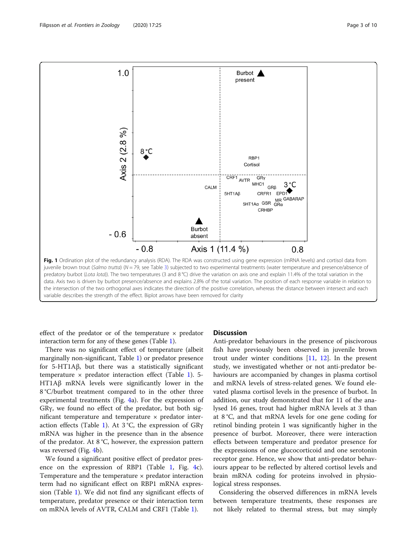<span id="page-2-0"></span>

effect of the predator or of the temperature × predator interaction term for any of these genes (Table [1\)](#page-3-0).

There was no significant effect of temperature (albeit marginally non-significant, Table [1\)](#page-3-0) or predator presence for 5-HT1Aβ, but there was a statistically significant temperature  $\times$  predator interaction effect (Table [1](#page-3-0)). 5-HT1Aβ mRNA levels were significantly lower in the 8 °C/burbot treatment compared to in the other three experimental treatments (Fig. [4a](#page-5-0)). For the expression of GRγ, we found no effect of the predator, but both significant temperature and temperature  $\times$  predator inter-action effects (Table [1\)](#page-3-0). At  $3^{\circ}C$ , the expression of GR $\gamma$ mRNA was higher in the presence than in the absence of the predator. At 8 °C, however, the expression pattern was reversed (Fig. [4](#page-5-0)b).

We found a significant positive effect of predator presence on the expression of RBP1 (Table [1,](#page-3-0) Fig. [4c](#page-5-0)). Temperature and the temperature  $\times$  predator interaction term had no significant effect on RBP1 mRNA expression (Table [1](#page-3-0)). We did not find any significant effects of temperature, predator presence or their interaction term on mRNA levels of AVTR, CALM and CRF1 (Table [1\)](#page-3-0).

#### **Discussion**

Anti-predator behaviours in the presence of piscivorous fish have previously been observed in juvenile brown trout under winter conditions [[11](#page-8-0), [12](#page-8-0)]. In the present study, we investigated whether or not anti-predator behaviours are accompanied by changes in plasma cortisol and mRNA levels of stress-related genes. We found elevated plasma cortisol levels in the presence of burbot. In addition, our study demonstrated that for 11 of the analysed 16 genes, trout had higher mRNA levels at 3 than at 8 °C, and that mRNA levels for one gene coding for retinol binding protein 1 was significantly higher in the presence of burbot. Moreover, there were interaction effects between temperature and predator presence for the expressions of one glucocorticoid and one serotonin receptor gene. Hence, we show that anti-predator behaviours appear to be reflected by altered cortisol levels and brain mRNA coding for proteins involved in physiological stress responses.

Considering the observed differences in mRNA levels between temperature treatments, these responses are not likely related to thermal stress, but may simply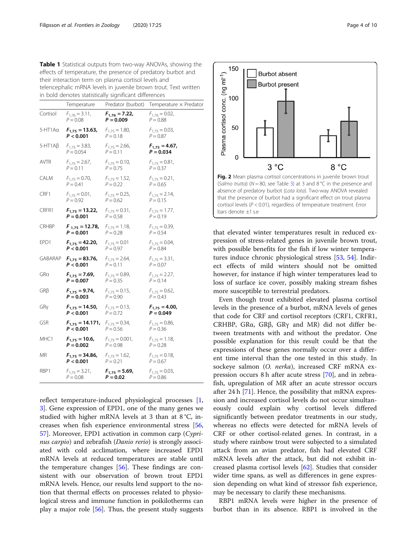<span id="page-3-0"></span>

| effects of temperature, the presence of predatory burbot and    |
|-----------------------------------------------------------------|
| their interaction term on plasma cortisol levels and            |
| telencephalic mRNA levels in juvenile brown trout. Text written |
| in bold denotes statistically significant differences           |

|                 | Temperature                                             |                                   | Predator (burbot) Temperature x Predator |  |
|-----------------|---------------------------------------------------------|-----------------------------------|------------------------------------------|--|
| Cortisol        | $F_{1,76} = 3.11$ ,<br>$P = 0.08$                       | $F_{1,76} = 7.22$<br>$P = 0.009$  | $F_{1,76} = 0.02$ ,<br>$P = 0.88$        |  |
| 5-HT1 Aα        | $F_{1,75} = 13.63$ , $F_{1,75} = 1.80$ ,<br>P < 0.001   | $P = 0.18$                        | $F_{1,75} = 0.03$ ,<br>$P = 0.87$        |  |
| $5 - HT1A\beta$ | $F_{1,75} = 3.83$ ,<br>$P = 0.054$                      | $F_{1,75} = 2.66$ ,<br>$P = 0.11$ | $F_{1,75} = 4.67$ ,<br>$P = 0.034$       |  |
| AVTR            | $F_{1,75} = 2.67$ ,<br>$P = 0.11$                       | $F_{1,75} = 0.10$ ,<br>$P = 0.75$ | $F_{1,75} = 0.81$ ,<br>$P = 0.37$        |  |
| CALM            | $F_{1,75} = 0.70$ ,<br>$P = 0.41$                       | $F_{1,75} = 1.52$ ,<br>$P = 0.22$ | $F_{1,75} = 0.21$ ,<br>$P = 0.65$        |  |
| CRF1            | $F_{1,75} = 0.01$ ,<br>$P = 0.92$                       | $F_{1,75} = 0.25$ ,<br>$P = 0.62$ | $F_{1,75} = 2.14$ ,<br>$P = 0.15$        |  |
| CRFR1           | $F_{1,75} = 13.22$ , $F_{1,75} = 0.31$ ,<br>$P = 0.001$ | $P = 0.58$                        | $F_{1,75} = 1.77$ ,<br>$P = 0.19$        |  |
| CRHBP           | $F_{1,75} = 12.78$ , $F_{1,75} = 1.18$ ,<br>$P = 0.001$ | $P = 0.28$                        | $F_{1,75} = 0.39$ ,<br>$P = 0.54$        |  |
| EPD1            | $F_{1,75} = 42.20$ , $F_{1,75} = 0.01$<br>P < 0.001     | $P = 0.97$                        | $F_{1,75} = 0.04$ ,<br>$P = 0.84$        |  |
| GABARAP         | $F_{1,75} = 83.76$ , $F_{1,75} = 2.64$ ,<br>P < 0.001   | $P = 0.11$                        | $F_{1,75} = 3.31$ ,<br>$P = 0.07$        |  |
| GRa             | $F_{1,75} = 7.69$ , $F_{1,75} = 0.89$ ,<br>$P = 0.007$  | $P = 0.35$                        | $F_{1,75} = 2.27$ ,<br>$P = 0.14$        |  |
| GRB             | $F_{1,75} = 9.74,$<br>$P = 0.003$                       | $F_{1,75} = 0.15$ ,<br>$P = 0.90$ | $F_{1,75} = 0.62$ ,<br>$P = 0.43$        |  |
| GRy             | $F_{1,75} = 14.50$ , $F_{1,75} = 0.13$ ,<br>P < 0.001   | $P = 0.72$                        | $F_{1,75} = 4.00,$<br>$P = 0.049$        |  |
| GSR             | $F_{1,75} = 14.171$ , $F_{1,75} = 0.34$ ,<br>P < 0.001  | $P = 0.56$                        | $F_{1,75} = 0.86$<br>$P = 0.36$          |  |
| MHC1            | $F_{1,75} = 10.6$ , $F_{1,75} = 0.001$ ,<br>$P = 0.002$ | $P = 0.98$                        | $F_{1,75} = 1.18$ ,<br>$P = 0.28$        |  |
| ΜR              | $F_{1,75} = 34.86$ , $F_{1,75} = 1.62$ ,<br>P < 0.001   | $P = 0.21$                        | $F_{1,75} = 0.18$ ,<br>$P = 0.67$        |  |
| RBP1            | $F_{1,75} = 3.21$ ,<br>$P = 0.08$                       | $F_{1,75} = 5.69$ ,<br>$P = 0.02$ | $F_{1,75} = 0.03$ ,<br>$P = 0.86$        |  |

reflect temperature-induced physiological processes [\[1](#page-8-0), [3\]](#page-8-0). Gene expression of EPD1, one of the many genes we studied with higher mRNA levels at 3 than at 8 °C, increases when fish experience environmental stress [[56](#page-9-0), [57\]](#page-9-0). Moreover, EPD1 activation in common carp (Cyprinus carpio) and zebrafish (Danio rerio) is strongly associated with cold acclimation, where increased EPD1 mRNA levels at reduced temperatures are stable until the temperature changes [[56\]](#page-9-0). These findings are consistent with our observation of brown trout EPD1 mRNA levels. Hence, our results lend support to the notion that thermal effects on processes related to physiological stress and immune function in poikilotherms can play a major role  $[56]$  $[56]$ . Thus, the present study suggests



that elevated winter temperatures result in reduced expression of stress-related genes in juvenile brown trout, with possible benefits for the fish if low winter temperatures induce chronic physiological stress [\[53](#page-9-0), [54\]](#page-9-0). Indirect effects of mild winters should not be omitted however, for instance if high winter temperatures lead to loss of surface ice cover, possibly making stream fishes more susceptible to terrestrial predators.

Even though trout exhibited elevated plasma cortisol levels in the presence of a burbot, mRNA levels of genes that code for CRF and cortisol receptors (CRF1, CRFR1, CRHBP, GRα, GRβ, GRγ and MR) did not differ between treatments with and without the predator. One possible explanation for this result could be that the expressions of these genes normally occur over a different time interval than the one tested in this study. In sockeye salmon (O. nerka), increased CRF mRNA expression occurs 8 h after acute stress [\[70](#page-9-0)], and in zebrafish, upregulation of MR after an acute stressor occurs after 24 h [\[71](#page-9-0)]. Hence, the possibility that mRNA expression and increased cortisol levels do not occur simultaneously could explain why cortisol levels differed significantly between predator treatments in our study, whereas no effects were detected for mRNA levels of CRF or other cortisol-related genes. In contrast, in a study where rainbow trout were subjected to a simulated attack from an avian predator, fish had elevated CRF mRNA levels after the attack, but did not exhibit increased plasma cortisol levels [[62\]](#page-9-0). Studies that consider wider time spans, as well as differences in gene expression depending on what kind of stressor fish experience, may be necessary to clarify these mechanisms.

RBP1 mRNA levels were higher in the presence of burbot than in its absence. RBP1 is involved in the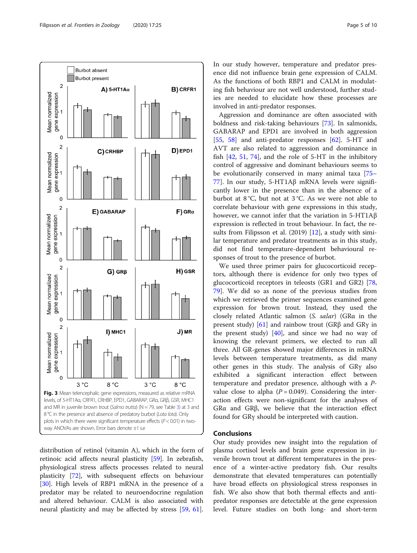<span id="page-4-0"></span>

distribution of retinol (vitamin A), which in the form of retinoic acid affects neural plasticity [[59\]](#page-9-0). In zebrafish, physiological stress affects processes related to neural plasticity [[72](#page-9-0)], with subsequent effects on behaviour [[30\]](#page-8-0). High levels of RBP1 mRNA in the presence of a predator may be related to neuroendocrine regulation and altered behaviour. CALM is also associated with neural plasticity and may be affected by stress [\[59](#page-9-0), [61](#page-9-0)]. In our study however, temperature and predator presence did not influence brain gene expression of CALM. As the functions of both RBP1 and CALM in modulating fish behaviour are not well understood, further studies are needed to elucidate how these processes are involved in anti-predator responses.

Aggression and dominance are often associated with boldness and risk-taking behaviours [\[73\]](#page-9-0). In salmonids, GABARAP and EPD1 are involved in both aggression [[55,](#page-9-0) [58\]](#page-9-0) and anti-predator responses [\[62\]](#page-9-0). 5-HT and AVT are also related to aggression and dominance in fish [\[42](#page-8-0), [51,](#page-9-0) [74\]](#page-9-0), and the role of 5-HT in the inhibitory control of aggressive and dominant behaviours seems to be evolutionarily conserved in many animal taxa [[75](#page-9-0)– [77\]](#page-9-0). In our study, 5-HT1Aβ mRNA levels were significantly lower in the presence than in the absence of a burbot at 8 °C, but not at 3 °C. As we were not able to correlate behaviour with gene expressions in this study, however, we cannot infer that the variation in 5-HT1Aβ expression is reflected in trout behaviour. In fact, the results from Filipsson et al. (2019) [\[12](#page-8-0)], a study with similar temperature and predator treatments as in this study, did not find temperature-dependent behavioural responses of trout to the presence of burbot.

We used three primer pairs for glucocorticoid receptors, although there is evidence for only two types of glucocorticoid receptors in teleosts (GR1 and GR2) [[78](#page-9-0), [79\]](#page-9-0). We did so as none of the previous studies from which we retrieved the primer sequences examined gene expression for brown trout. Instead, they used the closely related Atlantic salmon (S. salar) (GRα in the present study) [[61\]](#page-9-0) and rainbow trout (GRβ and GRγ in the present study)  $[40]$  $[40]$ , and since we had no way of knowing the relevant primers, we elected to run all three. All GR-genes showed major differences in mRNA levels between temperature treatments, as did many other genes in this study. The analysis of GRγ also exhibited a significant interaction effect between temperature and predator presence, although with a Pvalue close to alpha ( $P = 0.049$ ). Considering the interaction effects were non-significant for the analyses of GRα and GRβ, we believe that the interaction effect found for GRγ should be interpreted with caution.

#### Conclusions

Our study provides new insight into the regulation of plasma cortisol levels and brain gene expression in juvenile brown trout at different temperatures in the presence of a winter-active predatory fish. Our results demonstrate that elevated temperatures can potentially have broad effects on physiological stress responses in fish. We also show that both thermal effects and antipredator responses are detectable at the gene expression level. Future studies on both long- and short-term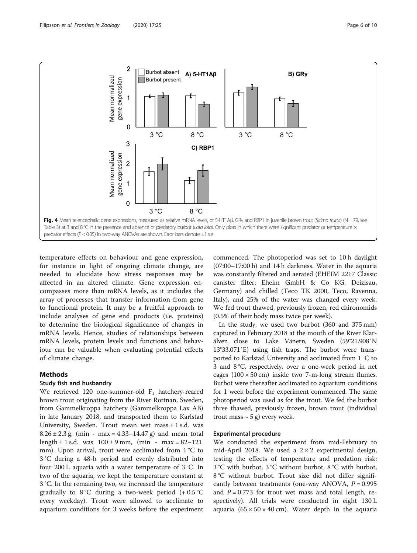<span id="page-5-0"></span>

temperature effects on behaviour and gene expression, for instance in light of ongoing climate change, are needed to elucidate how stress responses may be affected in an altered climate. Gene expression encompasses more than mRNA levels, as it includes the array of processes that transfer information from gene to functional protein. It may be a fruitful approach to include analyses of gene end products (i.e. proteins) to determine the biological significance of changes in mRNA levels. Hence, studies of relationships between mRNA levels, protein levels and functions and behaviour can be valuable when evaluating potential effects of climate change.

#### Methods

#### Study fish and husbandry

We retrieved 120 one-summer-old  $F_1$  hatchery-reared brown trout originating from the River Rottnan, Sweden, from Gammelkroppa hatchery (Gammelkroppa Lax AB) in late January 2018, and transported them to Karlstad University, Sweden. Trout mean wet mass  $\pm$  1 s.d. was  $8.26 \pm 2.3$  g, (min - max = 4.33–14.47 g) and mean total length  $\pm$  1 s.d. was  $100 \pm 9$  mm, (min - max = 82–121 mm). Upon arrival, trout were acclimated from 1 °C to 3 °C during a 48-h period and evenly distributed into four 200 L aquaria with a water temperature of 3 °C. In two of the aquaria, we kept the temperature constant at 3 °C. In the remaining two, we increased the temperature gradually to  $8^{\circ}$ C during a two-week period  $(+ 0.5^{\circ}$ C every weekday). Trout were allowed to acclimate to aquarium conditions for 3 weeks before the experiment

commenced. The photoperiod was set to 10 h daylight (07:00–17:00 h) and 14 h darkness. Water in the aquaria was constantly filtered and aerated (EHEIM 2217 Classic canister filter; Eheim GmbH & Co KG, Deizisau, Germany) and chilled (Teco TK 2000, Teco, Ravenna, Italy), and 25% of the water was changed every week. We fed trout thawed, previously frozen, red chironomids (0.5% of their body mass twice per week).

In the study, we used two burbot (360 and 375 mm) captured in February 2018 at the mouth of the River Klarälven close to Lake Vänern, Sweden (59°21.908′N 13°33.071′E) using fish traps. The burbot were transported to Karlstad University and acclimated from 1 °C to 3 and 8 °C, respectively, over a one-week period in net cages  $(100 \times 50 \text{ cm})$  inside two 7-m-long stream flumes. Burbot were thereafter acclimated to aquarium conditions for 1 week before the experiment commenced. The same photoperiod was used as for the trout. We fed the burbot three thawed, previously frozen, brown trout (individual trout mass  $\sim$  5 g) every week.

#### Experimental procedure

We conducted the experiment from mid-February to mid-April 2018. We used a  $2 \times 2$  experimental design, testing the effects of temperature and predation risk: 3 °C with burbot, 3 °C without burbot, 8 °C with burbot, 8 °C without burbot. Trout size did not differ significantly between treatments (one-way ANOVA,  $P = 0.995$ and  $P = 0.773$  for trout wet mass and total length, respectively). All trials were conducted in eight 130 L aquaria  $(65 \times 50 \times 40 \text{ cm})$ . Water depth in the aquaria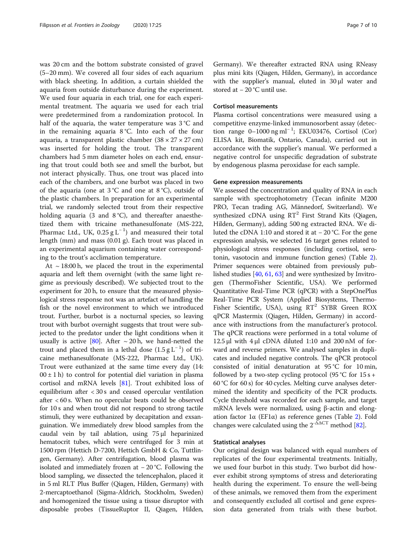was 20 cm and the bottom substrate consisted of gravel (5–20 mm). We covered all four sides of each aquarium with black sheeting. In addition, a curtain shielded the aquaria from outside disturbance during the experiment. We used four aquaria in each trial, one for each experimental treatment. The aquaria we used for each trial were predetermined from a randomization protocol. In half of the aquaria, the water temperature was 3 °C and in the remaining aquaria 8 °C. Into each of the four aquaria, a transparent plastic chamber  $(38 \times 27 \times 27 \text{ cm})$ was inserted for holding the trout. The transparent chambers had 5 mm diameter holes on each end, ensuring that trout could both see and smell the burbot, but not interact physically. Thus, one trout was placed into each of the chambers, and one burbot was placed in two of the aquaria (one at 3 °C and one at 8 °C), outside of the plastic chambers. In preparation for an experimental trial, we randomly selected trout from their respective holding aquaria (3 and  $8^{\circ}$ C), and thereafter anaesthetized them with tricaine methanesulfonate (MS-222, Pharmac Ltd., UK, 0.25  $\rm g\,L^{-1})$  and measured their total length (mm) and mass (0.01 g). Each trout was placed in an experimental aquarium containing water corresponding to the trout's acclimation temperature.

At  $\sim$  18:00 h, we placed the trout in the experimental aquaria and left them overnight (with the same light regime as previously described). We subjected trout to the experiment for 20 h, to ensure that the measured physiological stress response not was an artefact of handling the fish or the novel environment to which we introduced trout. Further, burbot is a nocturnal species, so leaving trout with burbot overnight suggests that trout were subjected to the predator under the light conditions when it usually is active [\[80\]](#page-9-0). After  $\sim$  20 h, we hand-netted the trout and placed them in a lethal dose  $(1.5 g L^{-1})$  of tricaine methanesulfonate (MS-222, Pharmac Ltd., UK). Trout were euthanized at the same time every day (14:  $00 \pm 1$  h) to control for potential diel variation in plasma cortisol and mRNA levels [\[81](#page-9-0)]. Trout exhibited loss of equilibrium after < 30 s and ceased opercular ventilation after < 60 s. When no opercular beats could be observed for 10 s and when trout did not respond to strong tactile stimuli, they were euthanized by decapitation and exsanguination. We immediately drew blood samples from the caudal vein by tail ablation, using 75 μl heparinized hematocrit tubes, which were centrifuged for 3 min at 1500 rpm (Hettich D-7200, Hettich GmbH & Co, Tuttlingen, Germany). After centrifugation, blood plasma was isolated and immediately frozen at − 20 °C. Following the blood sampling, we dissected the telencephalon, placed it in 5 ml RLT Plus Buffer (Qiagen, Hilden, Germany) with 2-mercaptoethanol (Sigma-Aldrich, Stockholm, Sweden) and homogenized the tissue using a tissue disruptor with disposable probes (TissueRuptor II, Qiagen, Hilden, Germany). We thereafter extracted RNA using RNeasy plus mini kits (Qiagen, Hilden, Germany), in accordance with the supplier's manual, eluted in 30 μl water and stored at − 20 °C until use.

#### Cortisol measurements

Plasma cortisol concentrations were measured using a competitive enzyme-linked immunosorbent assay (detection range 0–1000 ng ml<sup>−</sup> <sup>1</sup> ; EKU03476, Cortisol (Cor) ELISA kit, Biomatik, Ontario, Canada), carried out in accordance with the supplier's manual. We performed a negative control for unspecific degradation of substrate by endogenous plasma peroxidase for each sample.

#### Gene expression measurements

We assessed the concentration and quality of RNA in each sample with spectrophotometry (Tecan infinite M200 PRO, Tecan trading AG, Männedorf, Switzerland). We synthesized cDNA using  $RT^2$  First Strand Kits (Qiagen, Hilden, Germany), adding 500 ng extracted RNA. We diluted the cDNA 1:10 and stored it at − 20 °C. For the gene expression analysis, we selected 16 target genes related to physiological stress responses (including cortisol, serotonin, vasotocin and immune function genes) (Table [2](#page-7-0)). Primer sequences were obtained from previously published studies [\[40,](#page-8-0) [61](#page-9-0), [63\]](#page-9-0) and were synthesized by Invitrogen (ThermoFisher Scientific, USA). We performed Quantitative Real-Time PCR (qPCR) with a StepOnePlus Real-Time PCR System (Applied Biosystems, Thermo-Fisher Scientific, USA), using  $RT^2$  SYBR Green ROX qPCR Mastermix (Qiagen, Hilden, Germany) in accordance with instructions from the manufacturer's protocol. The qPCR reactions were performed in a total volume of 12.5 μl with  $4$  μl cDNA diluted 1:10 and 200 nM of forward and reverse primers. We analysed samples in duplicates and included negative controls. The qPCR protocol consisted of initial denaturation at 95 °C for 10 min, followed by a two-step cycling protocol (95 °C for  $15 s +$ 60 °C for 60 s) for 40 cycles. Melting curve analyses determined the identity and specificity of the PCR products. Cycle threshold was recorded for each sample, and target mRNA levels were normalized, using β-actin and elongation factor 1α (EF1α) as reference genes (Table [2\)](#page-7-0). Fold changes were calculated using the  $2^{-\bar{\Delta}\Delta CT}$  method [[82](#page-9-0)].

#### Statistical analyses

Our original design was balanced with equal numbers of replicates of the four experimental treatments. Initially, we used four burbot in this study. Two burbot did however exhibit strong symptoms of stress and deteriorating health during the experiment. To ensure the well-being of these animals, we removed them from the experiment and consequently excluded all cortisol and gene expression data generated from trials with these burbot.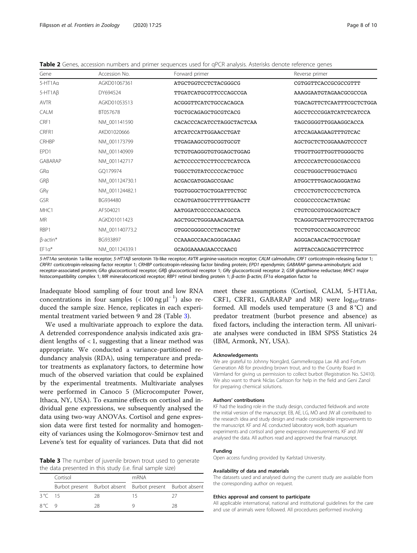<span id="page-7-0"></span>Table 2 Genes, accession numbers and primer sequences used for qPCR analysis. Asterisks denote reference genes

| Accession No.  | Forward primer                                   | Reverse primer            |
|----------------|--------------------------------------------------|---------------------------|
| AGKD01067361   | ATGCTGGTCCTCTACGGGCG                             | CGTGGTTCACCGCGCCGTTT      |
| DY694524       | TTGATCATGCGTTCCCAGCCGA<br>AAAGGAATGTAGAACGCGCCGA |                           |
| AGKD01053513   | ACGGGTTCATCTGCCACAGCA                            | TGACAGTTCTCAATTTCGCTCTGGA |
| BT057678       | TGCTGCAGAGCTGCGTCACG                             | AGCCTCCCGGATCATCTCATCCA   |
| NM 001141590   | CACACCCACATCCTAGGCTACTCAA                        | TAGCGGGGTTGGAAGGCACCA     |
| AKD01020666    | ATCATCCATTGGAACCTGAT                             | ATCCAGAAGAAGTTTGTCAC      |
| NM 001173799   | TTGAGAAGCGTGCGGTGCGT                             | AGCTGCTCTCGGAAAGTCCCCT    |
| NM_001140909   | TCTGTGAGGGTGTGGAGCTGGAG                          | TTGGTTGGTTGGTTGGGGCTG     |
| NM_001142717   | ACTCCCCCTCCTTCCCTCATCCA                          | ATCCCCATCTCGGCGACCCG      |
| GO179974       | TGGCCTGTATCCCCCACTGCC                            | CCGCTGGGCTTGGCTGACG       |
| NM_001124730.1 | ACGACGATGGAGCCGAAC                               | ATGGCTTTGAGCAGGGATAG      |
| NM_001124482.1 | TGGTGGGCTGCTGGATTTCTGC                           | CTCCCTGTCTCCCTCTGTCA      |
| BG934480       | CCAGTGATGGCTTTTTTGAACTT                          | CCGGCCCCCACTATGAC         |
| AF504021       | AATGGATCGCCCCAACGCCA                             | CTGTCGCGTGGCAGGTCACT      |
| AGKD01011423   | AGCTGGCTGGGAAACAGATGA                            | TCAGGGTGATTTGGTCCTCTATGG  |
| NM_001140773.2 | GTGGCGGGCCCTACGCTAT                              | TCCTGTGCCCAGCATGTCGC      |
| BG933897       | CCAAAGCCAACAGGGAGAAG                             | AGGGACAACACTGCCTGGAT      |
| NM 001124339.1 | GCAGGAAAAGAACCCAACG                              | AGTTACCAGCAGCTTTCTTCC     |
|                |                                                  |                           |

5-HT1A<sup>α</sup> serotonin 1a-like receptor; 5-HT1A<sup>β</sup> serotonin 1b-like receptor; AVTR arginine-vasotocin receptor; CALM calmodulin; CRF1 corticotropin-releasing factor 1; CRFR1 corticotropin-releasing factor receptor 1; CRHBP corticotropin-releasing factor binding protein; EPD1 ependymin; GABARAP gamma-aminobutyric acid receptor-associated protein; GR<sup>α</sup> glucocorticoid receptor; GR<sup>β</sup> glucocorticoid receptor 1; GR<sup>γ</sup> glucocorticoid receptor 2; GSR glutathione reductase; MHC1 major histocompatibility complex 1; MR mineralocorticoid receptor; RBP1 retinol binding protein 1; β-actin β-actin; EF1α elongation factor 1α

Inadequate blood sampling of four trout and low RNA concentrations in four samples  $(< 100$  ng  $\mu$ <sup>-1</sup>) also reduced the sample size. Hence, replicates in each experimental treatment varied between 9 and 28 (Table 3).

We used a multivariate approach to explore the data. A detrended correspondence analysis indicated axis gradient lengths of  $< 1$ , suggesting that a linear method was appropriate. We conducted a variance-partitioned redundancy analysis (RDA), using temperature and predator treatments as explanatory factors, to determine how much of the observed variation that could be explained by the experimental treatments. Multivariate analyses were performed in Canoco 5 (Microcomputer Power, Ithaca, NY, USA). To examine effects on cortisol and individual gene expressions, we subsequently analysed the data using two-way ANOVAs. Cortisol and gene expression data were first tested for normality and homogeneity of variances using the Kolmogorov-Smirnov test and Levene's test for equality of variances. Data that did not

Table 3 The number of juvenile brown trout used to generate the data presented in this study (i.e. final sample size)

|               | Cortisol |    | mRNA                                                      |    |
|---------------|----------|----|-----------------------------------------------------------|----|
|               |          |    | Burbot present Burbot absent Burbot present Burbot absent |    |
| 3 °C 15       |          | 28 | 15                                                        |    |
| $8^{\circ}$ 9 |          | 28 |                                                           | 28 |

meet these assumptions (Cortisol, CALM, 5-HT1Aα, CRF1, CRFR1, GABARAP and MR) were  $log_{10}$ -transformed. All models used temperature (3 and 8 °C) and predator treatment (burbot presence and absence) as fixed factors, including the interaction term. All univariate analyses were conducted in IBM SPSS Statistics 24 (IBM, Armonk, NY, USA).

#### Acknowledgements

We are grateful to Johnny Norrgård, Gammelkroppa Lax AB and Fortum Generation AB for providing brown trout, and to the County Board in Värmland for giving us permission to collect burbot (Registration No. S2410). We also want to thank Niclas Carlsson for help in the field and Geni Zanol for preparing chemical solutions.

#### Authors' contributions

KF had the leading role in the study design, conducted fieldwork and wrote the initial version of the manuscript. EB, AE, LG, MÖ and JW all contributed to the research idea and study design and made considerable improvements to the manuscript. KF and AE conducted laboratory work, both aquarium experiments and cortisol and gene expression measurements. KF and JW analysed the data. All authors read and approved the final manuscript.

#### Funding

Open access funding provided by Karlstad University.

#### Availability of data and materials

The datasets used and analysed during the current study are available from the corresponding author on request.

#### Ethics approval and consent to participate

All applicable international, national and institutional guidelines for the care and use of animals were followed. All procedures performed involving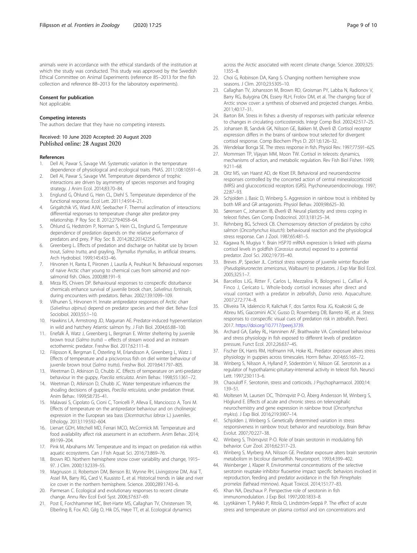#### <span id="page-8-0"></span>Consent for publication

Not applicable.

#### Competing interests

The authors declare that they have no competing interests.

#### Received: 10 June 2020 Accepted: 20 August 2020 Published online: 28 August 2020

#### References

- 1. Dell AI, Pawar S, Savage VM. Systematic variation in the temperature dependence of physiological and ecological traits. PNAS. 2011;108:10591–6.
- 2. Dell AI, Pawar S, Savage VM. Temperature dependence of trophic interactions are driven by asymmetry of species responses and foraging strategy. J Anim Ecol. 2014;83:70–84.
- 3. Englund G, Öhlund G, Hein CL, Diehl S. Temperature dependence of the functional response. Ecol Lett. 2011;14:914–21.
- 4. Grigaltchik VS, Ward AJW, Seebacher F. Thermal acclimation of interactions: differential responses to temperature change alter predator-prey relationship. P Roy Soc B. 2012;279:4058–64.
- 5. Öhlund G, Hedström P, Norman S, Hein CL, Englund G. Temperature dependence of predation depends on the relative performance of predators and prey. P Roy Soc B. 2014;282:20142254.
- 6. Greenberg L. Effects of predation and discharge on habitat use by brown trout, Salmo trutta, and grayling, Thymallus thymallus, in artificial streams. Arch Hydrobiol. 1999;145:433–46.
- 7. Hirvonen H, Ranta E, Piironen J, Laurila A, Peuhkuri N. Behavioural responses of naive Arctic charr young to chemical cues from salmonid and nonsalmonid fish. Oikos. 2000;88:191–9.
- 8. Mirza RS, Chivers DP. Behavioural responses to conspecific disturbance chemicals enhance survival of juvenile brook charr, Salvelinus fontinalis, during encounters with predators. Behav. 2002;139:1099–109.
- 9. Vilhunen S, Hirvonen H. Innate antipredator responses of Arctic charr (Salvelinus alpinus) depend on predator species and their diet. Behav Ecol Sociobiol. 2003;55:1–10.
- Hawkins LA, Armstrong JD, Magurran AE. Predator-induced hyperventilation in wild and hatchery Atlantic salmon fry. J Fish Biol. 2004;65:88–100.
- 11. Enefalk Å, Watz J, Greenberg L, Bergman E. Winter sheltering by juvenile brown trout (Salmo trutta) – effects of stream wood and an instream ectothermic predator. Freshw Biol. 2017;62:111–8.
- 12. Filipsson K, Bergman E, Österling M, Erlandsson A, Greenberg L, Watz J. Effects of temperature and a piscivorous fish on diel winter behaviour of juvenile brown trout (Salmo trutta). Freshw Biol. 2019;64:1797–805.
- 13. Weetman D, Atkinson D, Chubb JC. Effects of temperature on anti-predator behaviour in the guppy, Poecilia reticulata. Anim Behav. 1998;55:1361–72.
- 14. Weetman D, Atkinson D, Chubb JC. Water temperature influences the shoaling decisions of guppies, Poecilia reticulata, under predation threat. Anim Behav. 1999;58:735–41.
- 15. Malavasi S, Cipolato G, Cioni C, Torricelli P, Alleva E, Manciocco A, Toni M. Effects of temperature on the antipredator behaviour and on cholinergic expression in the European sea bass (Dicentrarchus labrax L.) juveniles. Ethology. 2013;119:592–604.
- 16. Lienart GDH, Mitchell MD, Ferrari MCO, McCormick MI. Temperature and food availability affect risk assessment in an ectotherm. Anim Behav. 2014; 89:199–204.
- 17. Pink M, Abrahams MV. Temperature and its impact on predation risk within aquatic ecosystems. Can J Fish Aquat Sci. 2016;73:869–76.
- 18. Brown RD. Northern hemisphere snow cover variability and change, 1915– 97. J Clim. 2000;13:2339–55.
- 19. Magnuson JJ, Robertson DM, Benson BJ, Wynne RH, Livingstone DM, Arai T, Assel RA, Barry RG, Card V, Kuusisto E, et al. Historical trends in lake and river ice cover in the northern hemisphere. Science. 2000;289:1743–6.
- 20. Parmesan C. Ecological and evolutionary responses to recent climate change. Annu Rev Ecol Evol Syst. 2006;37:637–69.
- 21. Post E, Forchhammer MC, Bret-Harte MS, Callaghan TV, Christensen TR, Elberling B, Fox AD, Gilg O, Hik DS, Høye TT, et al. Ecological dynamics

across the Arctic associated with recent climate change. Science. 2009;325: 1355–8.

- 22. Choi G, Robinson DA, Kang S. Changing northern hemisphere snow seasons. J Clim. 2010;23:5305–10.
- 23. Callaghan TV, Johansson M, Brown RD, Groisman PY, Labba N, Radionov V, Barry RG, Bulygina ON, Essery RLH, Frolov DM, et al. The changing face of Arctic snow cover: a synthesis of observed and projected changes. Ambio. 2011;40:17–31.
- 24. Barton BA. Stress in fishes: a diversity of responses with particular reference to changes in circulating corticosteroids. Integr Comp Biol. 2002;42:517–25.
- 25. Johansen IB, Sandvik GK, Nilsson GE, Bakken M, Øverli Ø. Cortisol receptor expression differs in the brains of rainbow trout selected for divergent cortisol response. Comp Biochem Phys D. 2011;6:126–32.
- 26. Wendelaar Bonga SE. The stress response in fish. Physiol Rev. 1997;77:591–625.
- 27. Mommsen TP, Vijayan MM, Moon TW. Cortisol in teleosts: dynamics, mechanisms of action, and metabolic regulation. Rev Fish Biol Fisher. 1999; 9:211–68.
- 28. Oitz MS, van Haarst AD, de Kloet ER. Behavioral and neuroendocrine responses controlled by the concerted action of central mineralocorticoid (MRS) and glucocorticoid receptors (GRS). Psychoneuroendocrinology. 1997; 22:87–93.
- 29. Schjolden J, Basic D, Winberg S. Aggression in rainbow trout is inhibited by both MR and GR antagonists. Physiol Behav. 2009;98:625–30.
- 30. Sørensen C, Johansen IB, Øverli Ø. Neural plasticity and stress coping in teleost fishes. Gen Comp Endocrinol. 2013;181:25–34.
- 31. Rehnberg BG, Schreck CB. Chemosensory detection of predators by coho salmon (Oncorhynchus kisutch): behavioural reaction and the physiological stress response. Can J Zool. 1987;65:481–5.
- 32. Kagawa N, Mugiya Y. Brain HSP70 mRNA expression is linked with plasma cortisol levels in goldfish (Carassius auratus) exposed to a potential predator. Zool Sci. 2002;19:735–40.
- 33. Breves JP, Specker JL. Cortisol stress response of juvenile winter flounder (Pseudopleuronectes americanus, Walbaum) to predators. J Exp Mar Biol Ecol. 2005;325:1–7.
- 34. Barcellos LJG, Ritter F, Carlos L, Mezzalira R, Bolognesi L, Calliari A, Finco J, Cericato L. Whole-body cortisol increases after direct and visual contact with a predator in zebrafish, Danio rerio. Aquaculture. 2007;272:774–8.
- 35. Oliveira TA, Idalencio R, Kalichak F, dos Santos Rosa JG, Koakoski G, de Abreu MS, Giacomini ACV, Gusso D, Rosemberg DB, Barreto RE, et al. Stress responses to conspecific visual cues of predation risk in zebrafish. PeerJ. 2017. <https://doi.org/10.7717/peerj.3739>.
- 36. Archard GA, Earley RL, Hanninen AF, Braithwaite VA. Correlated behaviour and stress physiology in fish exposed to different levels of predation pressure. Funct Ecol. 2012;26:637–45.
- 37. Fischer EK, Harris RM, Hofmann HA, Hoke KL. Predator exposure alters stress physiology in guppies across timescales. Horm Behav. 2014;65:165–72.
- 38. Winberg S, Nilsson A, Hylland P, Söderström V, Nilsson GE. Serotonin as a regulator of hypothalamic-pituitary-interrenal activity in teleost fish. Neursci Lett. 1997;230:113–6.
- 39. Chaouloff F. Serotonin, stress and corticoids. J Psychopharmacol. 2000;14: 139–51.
- 40. Moltesen M, Laursen DC, Thörnqvist P-O, Åberg Andersson M, Winberg S, Höglund E. Effects of acute and chronic stress on telencephalic neurochemistry and gene expression in rainbow trout (Oncorhynchus mykiss). J Exp Biol. 2016;219:3907–14.
- 41. Schjolden J, Winberg S. Genetically determined variation in stress responsiveness in rainbow trout: behavior and neurobiology. Brain Behav Evolut. 2007;70:227–38.
- 42. Winberg S, Thörnqvist P-O. Role of brain serotonin in modulating fish behavior. Curr Zool. 2016;62:317–23.
- 43. Winberg S, Myrberg AA, Nilsson GE. Predator exposure alters brain serotonin metabolism in bicolour damselfish. Neuroreport. 1993;4:399–402.
- 44. Weinberger J, Klaper R. Environmental concentrations of the selective serotonin reuptake inhibitor fluoxetine impact specific behaviors involved in reproduction, feeding and predator avoidance in the fish Pimephales promelas (fathead minnow). Aquat Toxicol. 2014;151:77–83.
- 45. Khan NA, Deschaux P. Perspective role of serotonin in fish immunomodulation. J Exp Biol. 1997;200:1833–8.
- 46. Lyytikäinen T, Pylkkö P, Ritola O, Lindström-Seppä P. The effect of acute stress and temperature on plasma cortisol and ion concentrations and